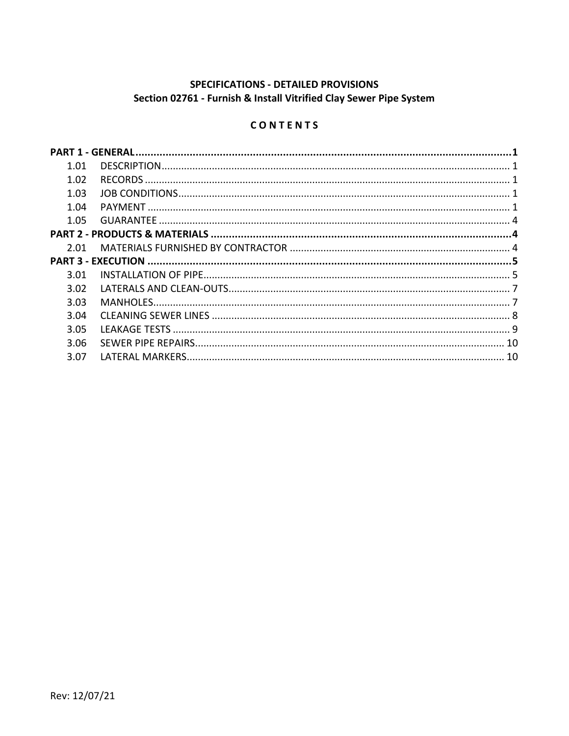# SPECIFICATIONS - DETAILED PROVISIONS Section 02761 - Furnish & Install Vitrified Clay Sewer Pipe System

# CONTENTS

| 1.01 |  |
|------|--|
| 1.02 |  |
| 1.03 |  |
| 1.04 |  |
| 1.05 |  |
|      |  |
| 2.01 |  |
|      |  |
| 3.01 |  |
| 3.02 |  |
| 3.03 |  |
|      |  |
| 3.04 |  |
| 3.05 |  |
| 3.06 |  |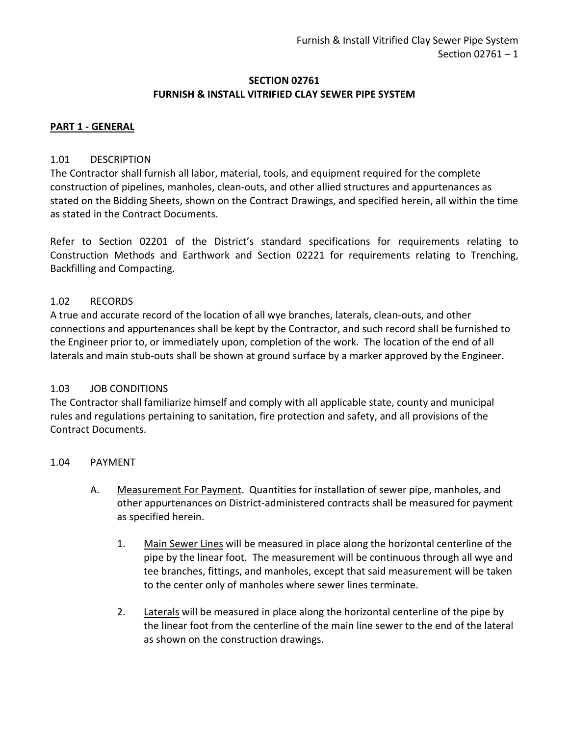### **SECTION 02761 FURNISH & INSTALL VITRIFIED CLAY SEWER PIPE SYSTEM**

### <span id="page-2-0"></span>**PART 1 - GENERAL**

### <span id="page-2-1"></span>1.01 DESCRIPTION

The Contractor shall furnish all labor, material, tools, and equipment required for the complete construction of pipelines, manholes, clean-outs, and other allied structures and appurtenances as stated on the Bidding Sheets, shown on the Contract Drawings, and specified herein, all within the time as stated in the Contract Documents.

Refer to Section 02201 of the District's standard specifications for requirements relating to Construction Methods and Earthwork and Section 02221 for requirements relating to Trenching, Backfilling and Compacting.

## <span id="page-2-2"></span>1.02 RECORDS

A true and accurate record of the location of all wye branches, laterals, clean-outs, and other connections and appurtenances shall be kept by the Contractor, and such record shall be furnished to the Engineer prior to, or immediately upon, completion of the work. The location of the end of all laterals and main stub-outs shall be shown at ground surface by a marker approved by the Engineer.

### <span id="page-2-3"></span>1.03 JOB CONDITIONS

The Contractor shall familiarize himself and comply with all applicable state, county and municipal rules and regulations pertaining to sanitation, fire protection and safety, and all provisions of the Contract Documents.

### <span id="page-2-4"></span>1.04 PAYMENT

- A. Measurement For Payment. Quantities for installation of sewer pipe, manholes, and other appurtenances on District-administered contracts shall be measured for payment as specified herein.
	- 1. Main Sewer Lines will be measured in place along the horizontal centerline of the pipe by the linear foot. The measurement will be continuous through all wye and tee branches, fittings, and manholes, except that said measurement will be taken to the center only of manholes where sewer lines terminate.
	- 2. Laterals will be measured in place along the horizontal centerline of the pipe by the linear foot from the centerline of the main line sewer to the end of the lateral as shown on the construction drawings.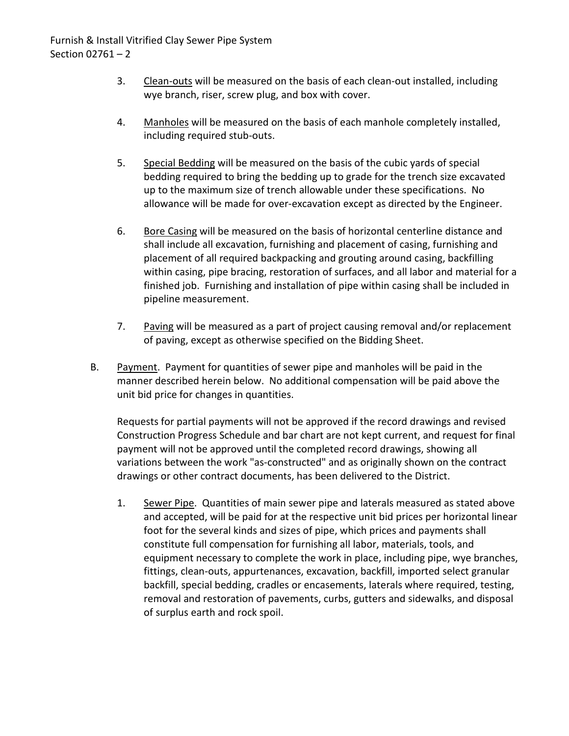- 3. Clean-outs will be measured on the basis of each clean-out installed, including wye branch, riser, screw plug, and box with cover.
- 4. Manholes will be measured on the basis of each manhole completely installed, including required stub-outs.
- 5. Special Bedding will be measured on the basis of the cubic yards of special bedding required to bring the bedding up to grade for the trench size excavated up to the maximum size of trench allowable under these specifications. No allowance will be made for over-excavation except as directed by the Engineer.
- 6. Bore Casing will be measured on the basis of horizontal centerline distance and shall include all excavation, furnishing and placement of casing, furnishing and placement of all required backpacking and grouting around casing, backfilling within casing, pipe bracing, restoration of surfaces, and all labor and material for a finished job. Furnishing and installation of pipe within casing shall be included in pipeline measurement.
- 7. Paving will be measured as a part of project causing removal and/or replacement of paving, except as otherwise specified on the Bidding Sheet.
- B. Payment. Payment for quantities of sewer pipe and manholes will be paid in the manner described herein below. No additional compensation will be paid above the unit bid price for changes in quantities.

Requests for partial payments will not be approved if the record drawings and revised Construction Progress Schedule and bar chart are not kept current, and request for final payment will not be approved until the completed record drawings, showing all variations between the work "as-constructed" and as originally shown on the contract drawings or other contract documents, has been delivered to the District.

1. Sewer Pipe. Quantities of main sewer pipe and laterals measured as stated above and accepted, will be paid for at the respective unit bid prices per horizontal linear foot for the several kinds and sizes of pipe, which prices and payments shall constitute full compensation for furnishing all labor, materials, tools, and equipment necessary to complete the work in place, including pipe, wye branches, fittings, clean-outs, appurtenances, excavation, backfill, imported select granular backfill, special bedding, cradles or encasements, laterals where required, testing, removal and restoration of pavements, curbs, gutters and sidewalks, and disposal of surplus earth and rock spoil.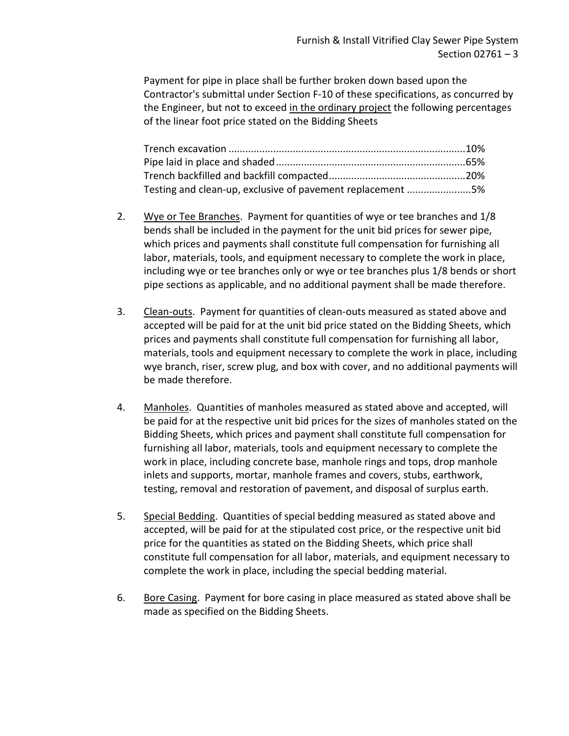Payment for pipe in place shall be further broken down based upon the Contractor's submittal under Section F-10 of these specifications, as concurred by the Engineer, but not to exceed in the ordinary project the following percentages of the linear foot price stated on the Bidding Sheets

| Testing and clean-up, exclusive of pavement replacement 5% |  |
|------------------------------------------------------------|--|

- 2. Wye or Tee Branches. Payment for quantities of wye or tee branches and 1/8 bends shall be included in the payment for the unit bid prices for sewer pipe, which prices and payments shall constitute full compensation for furnishing all labor, materials, tools, and equipment necessary to complete the work in place, including wye or tee branches only or wye or tee branches plus 1/8 bends or short pipe sections as applicable, and no additional payment shall be made therefore.
- 3. Clean-outs. Payment for quantities of clean-outs measured as stated above and accepted will be paid for at the unit bid price stated on the Bidding Sheets, which prices and payments shall constitute full compensation for furnishing all labor, materials, tools and equipment necessary to complete the work in place, including wye branch, riser, screw plug, and box with cover, and no additional payments will be made therefore.
- 4. Manholes. Quantities of manholes measured as stated above and accepted, will be paid for at the respective unit bid prices for the sizes of manholes stated on the Bidding Sheets, which prices and payment shall constitute full compensation for furnishing all labor, materials, tools and equipment necessary to complete the work in place, including concrete base, manhole rings and tops, drop manhole inlets and supports, mortar, manhole frames and covers, stubs, earthwork, testing, removal and restoration of pavement, and disposal of surplus earth.
- 5. Special Bedding. Quantities of special bedding measured as stated above and accepted, will be paid for at the stipulated cost price, or the respective unit bid price for the quantities as stated on the Bidding Sheets, which price shall constitute full compensation for all labor, materials, and equipment necessary to complete the work in place, including the special bedding material.
- 6. Bore Casing. Payment for bore casing in place measured as stated above shall be made as specified on the Bidding Sheets.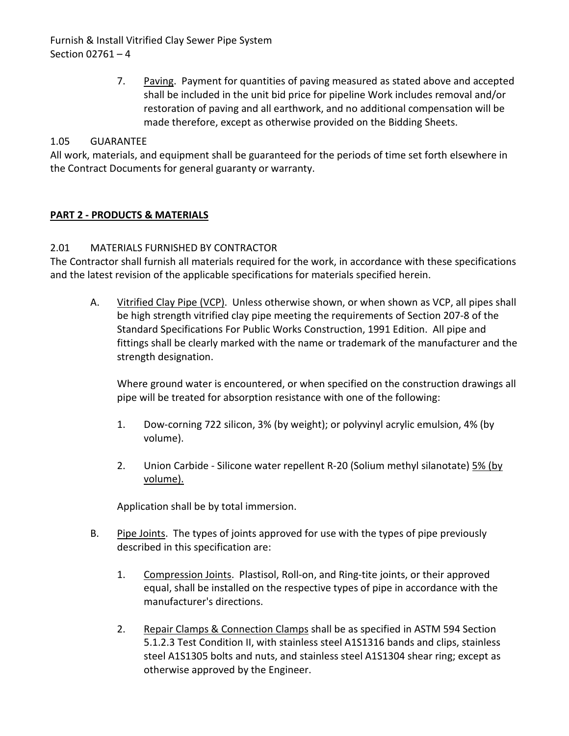Furnish & Install Vitrified Clay Sewer Pipe System Section 02761 – 4

> 7. Paving. Payment for quantities of paving measured as stated above and accepted shall be included in the unit bid price for pipeline Work includes removal and/or restoration of paving and all earthwork, and no additional compensation will be made therefore, except as otherwise provided on the Bidding Sheets.

## <span id="page-5-0"></span>1.05 GUARANTEE

All work, materials, and equipment shall be guaranteed for the periods of time set forth elsewhere in the Contract Documents for general guaranty or warranty.

## <span id="page-5-1"></span>**PART 2 - PRODUCTS & MATERIALS**

## <span id="page-5-2"></span>2.01 MATERIALS FURNISHED BY CONTRACTOR

The Contractor shall furnish all materials required for the work, in accordance with these specifications and the latest revision of the applicable specifications for materials specified herein.

A. Vitrified Clay Pipe (VCP). Unless otherwise shown, or when shown as VCP, all pipes shall be high strength vitrified clay pipe meeting the requirements of Section 207-8 of the Standard Specifications For Public Works Construction, 1991 Edition. All pipe and fittings shall be clearly marked with the name or trademark of the manufacturer and the strength designation.

Where ground water is encountered, or when specified on the construction drawings all pipe will be treated for absorption resistance with one of the following:

- 1. Dow-corning 722 silicon, 3% (by weight); or polyvinyl acrylic emulsion, 4% (by volume).
- 2. Union Carbide Silicone water repellent R-20 (Solium methyl silanotate) 5% (by volume).

Application shall be by total immersion.

- B. Pipe Joints. The types of joints approved for use with the types of pipe previously described in this specification are:
	- 1. Compression Joints. Plastisol, Roll-on, and Ring-tite joints, or their approved equal, shall be installed on the respective types of pipe in accordance with the manufacturer's directions.
	- 2. Repair Clamps & Connection Clamps shall be as specified in ASTM 594 Section 5.1.2.3 Test Condition II, with stainless steel A1S1316 bands and clips, stainless steel A1S1305 bolts and nuts, and stainless steel A1S1304 shear ring; except as otherwise approved by the Engineer.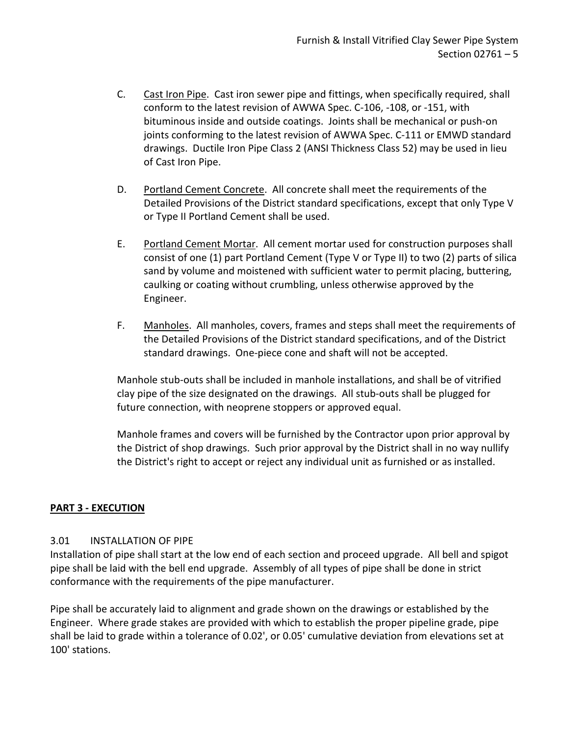- C. Cast Iron Pipe. Cast iron sewer pipe and fittings, when specifically required, shall conform to the latest revision of AWWA Spec. C-106, -108, or -151, with bituminous inside and outside coatings. Joints shall be mechanical or push-on joints conforming to the latest revision of AWWA Spec. C-111 or EMWD standard drawings. Ductile Iron Pipe Class 2 (ANSI Thickness Class 52) may be used in lieu of Cast Iron Pipe.
- D. Portland Cement Concrete. All concrete shall meet the requirements of the Detailed Provisions of the District standard specifications, except that only Type V or Type II Portland Cement shall be used.
- E. Portland Cement Mortar. All cement mortar used for construction purposes shall consist of one (1) part Portland Cement (Type V or Type II) to two (2) parts of silica sand by volume and moistened with sufficient water to permit placing, buttering, caulking or coating without crumbling, unless otherwise approved by the Engineer.
- F. Manholes. All manholes, covers, frames and steps shall meet the requirements of the Detailed Provisions of the District standard specifications, and of the District standard drawings. One-piece cone and shaft will not be accepted.

Manhole stub-outs shall be included in manhole installations, and shall be of vitrified clay pipe of the size designated on the drawings. All stub-outs shall be plugged for future connection, with neoprene stoppers or approved equal.

Manhole frames and covers will be furnished by the Contractor upon prior approval by the District of shop drawings. Such prior approval by the District shall in no way nullify the District's right to accept or reject any individual unit as furnished or as installed.

# <span id="page-6-0"></span>**PART 3 - EXECUTION**

# <span id="page-6-1"></span>3.01 INSTALLATION OF PIPE

Installation of pipe shall start at the low end of each section and proceed upgrade. All bell and spigot pipe shall be laid with the bell end upgrade. Assembly of all types of pipe shall be done in strict conformance with the requirements of the pipe manufacturer.

Pipe shall be accurately laid to alignment and grade shown on the drawings or established by the Engineer. Where grade stakes are provided with which to establish the proper pipeline grade, pipe shall be laid to grade within a tolerance of 0.02', or 0.05' cumulative deviation from elevations set at 100' stations.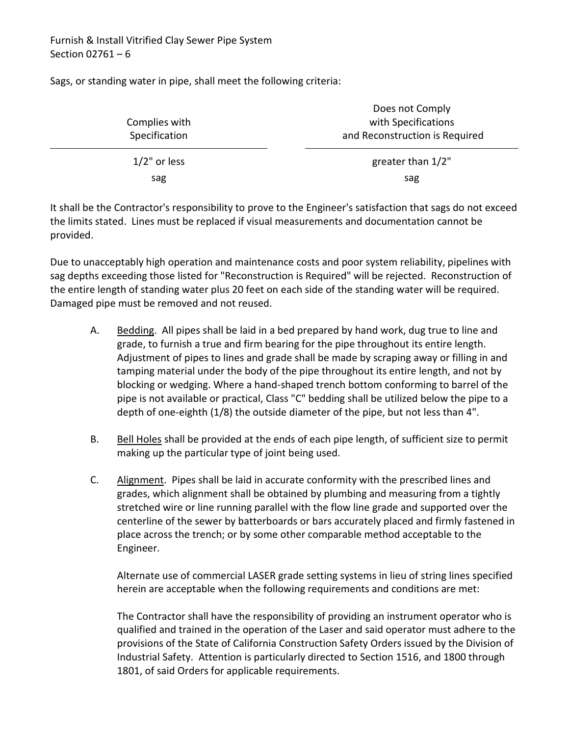Sags, or standing water in pipe, shall meet the following criteria:

| Complies with<br>Specification | DOES NOT COMPIN<br>with Specifications<br>and Reconstruction is Required |
|--------------------------------|--------------------------------------------------------------------------|
| $1/2$ " or less                | greater than 1/2"                                                        |
| sag                            | sag                                                                      |

Does not Comply

It shall be the Contractor's responsibility to prove to the Engineer's satisfaction that sags do not exceed the limits stated. Lines must be replaced if visual measurements and documentation cannot be provided.

Due to unacceptably high operation and maintenance costs and poor system reliability, pipelines with sag depths exceeding those listed for "Reconstruction is Required" will be rejected. Reconstruction of the entire length of standing water plus 20 feet on each side of the standing water will be required. Damaged pipe must be removed and not reused.

- A. Bedding. All pipes shall be laid in a bed prepared by hand work, dug true to line and grade, to furnish a true and firm bearing for the pipe throughout its entire length. Adjustment of pipes to lines and grade shall be made by scraping away or filling in and tamping material under the body of the pipe throughout its entire length, and not by blocking or wedging. Where a hand-shaped trench bottom conforming to barrel of the pipe is not available or practical, Class "C" bedding shall be utilized below the pipe to a depth of one-eighth (1/8) the outside diameter of the pipe, but not less than 4".
- B. Bell Holes shall be provided at the ends of each pipe length, of sufficient size to permit making up the particular type of joint being used.
- C. Alignment. Pipes shall be laid in accurate conformity with the prescribed lines and grades, which alignment shall be obtained by plumbing and measuring from a tightly stretched wire or line running parallel with the flow line grade and supported over the centerline of the sewer by batterboards or bars accurately placed and firmly fastened in place across the trench; or by some other comparable method acceptable to the Engineer.

Alternate use of commercial LASER grade setting systems in lieu of string lines specified herein are acceptable when the following requirements and conditions are met:

The Contractor shall have the responsibility of providing an instrument operator who is qualified and trained in the operation of the Laser and said operator must adhere to the provisions of the State of California Construction Safety Orders issued by the Division of Industrial Safety. Attention is particularly directed to Section 1516, and 1800 through 1801, of said Orders for applicable requirements.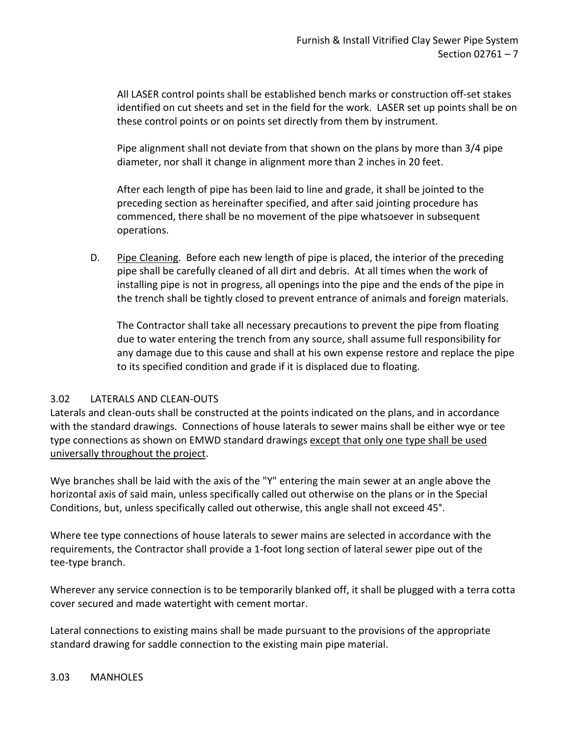All LASER control points shall be established bench marks or construction off-set stakes identified on cut sheets and set in the field for the work. LASER set up points shall be on these control points or on points set directly from them by instrument.

Pipe alignment shall not deviate from that shown on the plans by more than 3/4 pipe diameter, nor shall it change in alignment more than 2 inches in 20 feet.

After each length of pipe has been laid to line and grade, it shall be jointed to the preceding section as hereinafter specified, and after said jointing procedure has commenced, there shall be no movement of the pipe whatsoever in subsequent operations.

D. Pipe Cleaning. Before each new length of pipe is placed, the interior of the preceding pipe shall be carefully cleaned of all dirt and debris. At all times when the work of installing pipe is not in progress, all openings into the pipe and the ends of the pipe in the trench shall be tightly closed to prevent entrance of animals and foreign materials.

The Contractor shall take all necessary precautions to prevent the pipe from floating due to water entering the trench from any source, shall assume full responsibility for any damage due to this cause and shall at his own expense restore and replace the pipe to its specified condition and grade if it is displaced due to floating.

# <span id="page-8-0"></span>3.02 LATERALS AND CLEAN-OUTS

Laterals and clean-outs shall be constructed at the points indicated on the plans, and in accordance with the standard drawings. Connections of house laterals to sewer mains shall be either wye or tee type connections as shown on EMWD standard drawings except that only one type shall be used universally throughout the project.

Wye branches shall be laid with the axis of the "Y" entering the main sewer at an angle above the horizontal axis of said main, unless specifically called out otherwise on the plans or in the Special Conditions, but, unless specifically called out otherwise, this angle shall not exceed 45°.

Where tee type connections of house laterals to sewer mains are selected in accordance with the requirements, the Contractor shall provide a 1-foot long section of lateral sewer pipe out of the tee-type branch.

Wherever any service connection is to be temporarily blanked off, it shall be plugged with a terra cotta cover secured and made watertight with cement mortar.

<span id="page-8-1"></span>Lateral connections to existing mains shall be made pursuant to the provisions of the appropriate standard drawing for saddle connection to the existing main pipe material.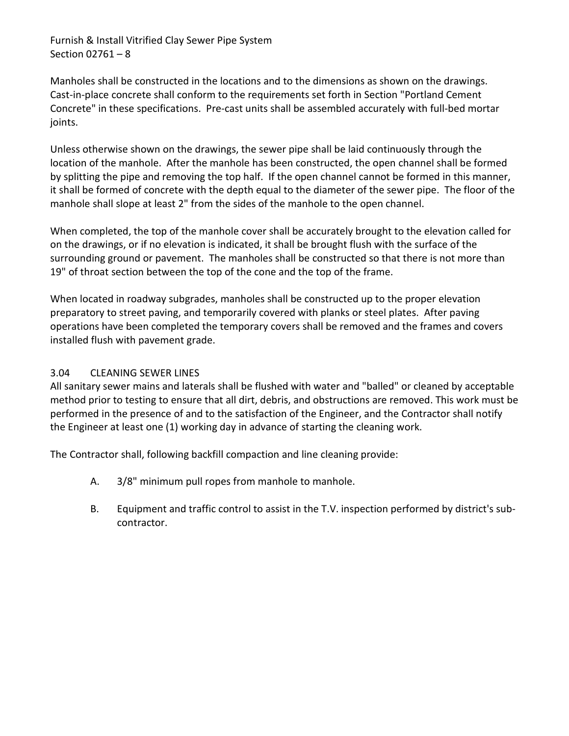Furnish & Install Vitrified Clay Sewer Pipe System Section 02761 – 8

Manholes shall be constructed in the locations and to the dimensions as shown on the drawings. Cast-in-place concrete shall conform to the requirements set forth in Section "Portland Cement Concrete" in these specifications. Pre-cast units shall be assembled accurately with full-bed mortar joints.

Unless otherwise shown on the drawings, the sewer pipe shall be laid continuously through the location of the manhole. After the manhole has been constructed, the open channel shall be formed by splitting the pipe and removing the top half. If the open channel cannot be formed in this manner, it shall be formed of concrete with the depth equal to the diameter of the sewer pipe. The floor of the manhole shall slope at least 2" from the sides of the manhole to the open channel.

When completed, the top of the manhole cover shall be accurately brought to the elevation called for on the drawings, or if no elevation is indicated, it shall be brought flush with the surface of the surrounding ground or pavement. The manholes shall be constructed so that there is not more than 19" of throat section between the top of the cone and the top of the frame.

When located in roadway subgrades, manholes shall be constructed up to the proper elevation preparatory to street paving, and temporarily covered with planks or steel plates. After paving operations have been completed the temporary covers shall be removed and the frames and covers installed flush with pavement grade.

# <span id="page-9-0"></span>3.04 CLEANING SEWER LINES

All sanitary sewer mains and laterals shall be flushed with water and "balled" or cleaned by acceptable method prior to testing to ensure that all dirt, debris, and obstructions are removed. This work must be performed in the presence of and to the satisfaction of the Engineer, and the Contractor shall notify the Engineer at least one (1) working day in advance of starting the cleaning work.

The Contractor shall, following backfill compaction and line cleaning provide:

- A. 3/8" minimum pull ropes from manhole to manhole.
- B. Equipment and traffic control to assist in the T.V. inspection performed by district's subcontractor.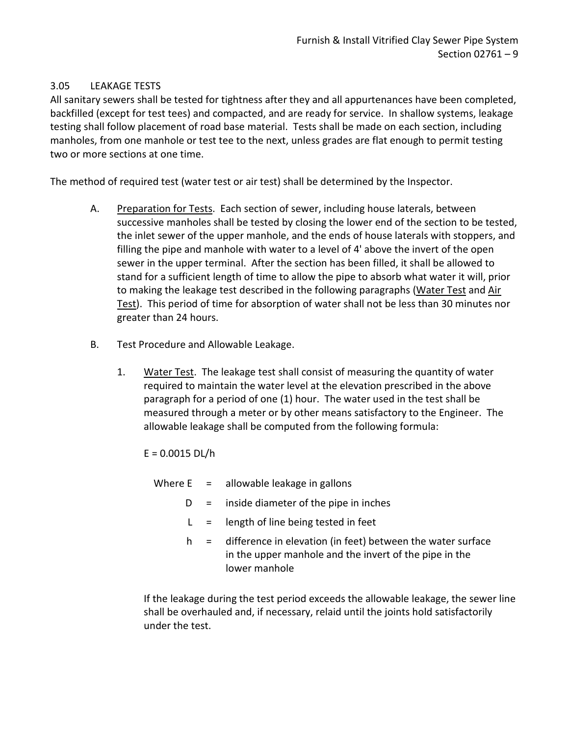# <span id="page-10-0"></span>3.05 LEAKAGE TESTS

All sanitary sewers shall be tested for tightness after they and all appurtenances have been completed, backfilled (except for test tees) and compacted, and are ready for service. In shallow systems, leakage testing shall follow placement of road base material. Tests shall be made on each section, including manholes, from one manhole or test tee to the next, unless grades are flat enough to permit testing two or more sections at one time.

The method of required test (water test or air test) shall be determined by the Inspector.

- A. Preparation for Tests. Each section of sewer, including house laterals, between successive manholes shall be tested by closing the lower end of the section to be tested, the inlet sewer of the upper manhole, and the ends of house laterals with stoppers, and filling the pipe and manhole with water to a level of 4' above the invert of the open sewer in the upper terminal. After the section has been filled, it shall be allowed to stand for a sufficient length of time to allow the pipe to absorb what water it will, prior to making the leakage test described in the following paragraphs (Water Test and Air Test). This period of time for absorption of water shall not be less than 30 minutes nor greater than 24 hours.
- B. Test Procedure and Allowable Leakage.
	- 1. Water Test. The leakage test shall consist of measuring the quantity of water required to maintain the water level at the elevation prescribed in the above paragraph for a period of one (1) hour. The water used in the test shall be measured through a meter or by other means satisfactory to the Engineer. The allowable leakage shall be computed from the following formula:
		- $E = 0.0015$  DL/h
			- Where  $E =$  allowable leakage in gallons
				- $D =$  inside diameter of the pipe in inches
				- $L =$  length of line being tested in feet
				- $h =$  difference in elevation (in feet) between the water surface in the upper manhole and the invert of the pipe in the lower manhole

If the leakage during the test period exceeds the allowable leakage, the sewer line shall be overhauled and, if necessary, relaid until the joints hold satisfactorily under the test.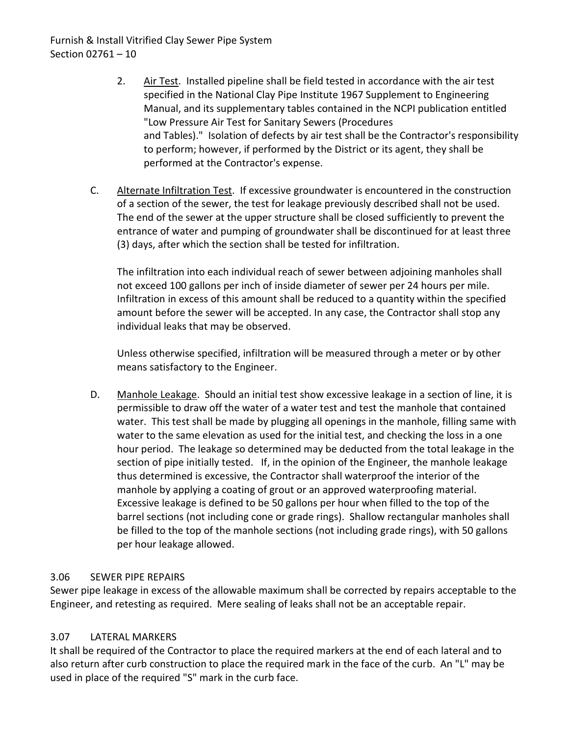- 2. Air Test. Installed pipeline shall be field tested in accordance with the air test specified in the National Clay Pipe Institute 1967 Supplement to Engineering Manual, and its supplementary tables contained in the NCPI publication entitled "Low Pressure Air Test for Sanitary Sewers (Procedures and Tables)." Isolation of defects by air test shall be the Contractor's responsibility to perform; however, if performed by the District or its agent, they shall be performed at the Contractor's expense.
- C. Alternate Infiltration Test. If excessive groundwater is encountered in the construction of a section of the sewer, the test for leakage previously described shall not be used. The end of the sewer at the upper structure shall be closed sufficiently to prevent the entrance of water and pumping of groundwater shall be discontinued for at least three (3) days, after which the section shall be tested for infiltration.

The infiltration into each individual reach of sewer between adjoining manholes shall not exceed 100 gallons per inch of inside diameter of sewer per 24 hours per mile. Infiltration in excess of this amount shall be reduced to a quantity within the specified amount before the sewer will be accepted. In any case, the Contractor shall stop any individual leaks that may be observed.

Unless otherwise specified, infiltration will be measured through a meter or by other means satisfactory to the Engineer.

D. Manhole Leakage. Should an initial test show excessive leakage in a section of line, it is permissible to draw off the water of a water test and test the manhole that contained water. This test shall be made by plugging all openings in the manhole, filling same with water to the same elevation as used for the initial test, and checking the loss in a one hour period. The leakage so determined may be deducted from the total leakage in the section of pipe initially tested. If, in the opinion of the Engineer, the manhole leakage thus determined is excessive, the Contractor shall waterproof the interior of the manhole by applying a coating of grout or an approved waterproofing material. Excessive leakage is defined to be 50 gallons per hour when filled to the top of the barrel sections (not including cone or grade rings). Shallow rectangular manholes shall be filled to the top of the manhole sections (not including grade rings), with 50 gallons per hour leakage allowed.

# <span id="page-11-0"></span>3.06 SEWER PIPE REPAIRS

Sewer pipe leakage in excess of the allowable maximum shall be corrected by repairs acceptable to the Engineer, and retesting as required. Mere sealing of leaks shall not be an acceptable repair.

# <span id="page-11-1"></span>3.07 LATERAL MARKERS

It shall be required of the Contractor to place the required markers at the end of each lateral and to also return after curb construction to place the required mark in the face of the curb. An "L" may be used in place of the required "S" mark in the curb face.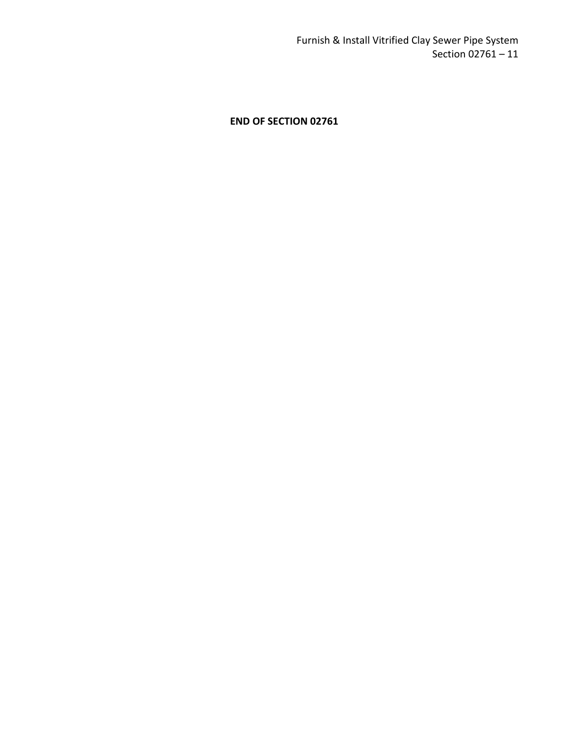**END OF SECTION 02761**